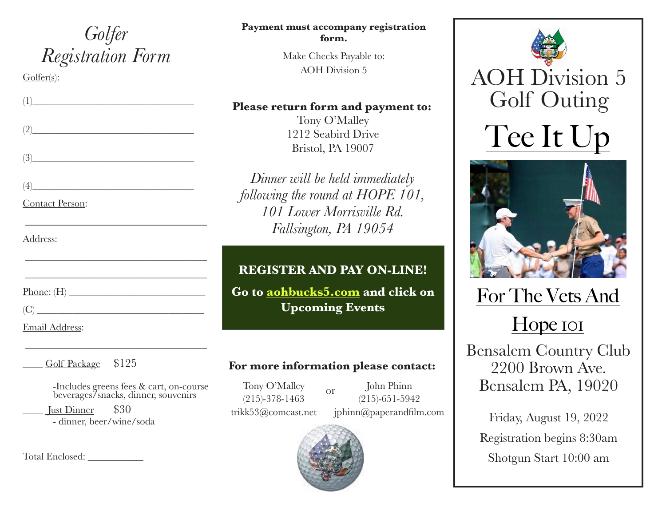## *Golfer Registration Form*

\_\_\_\_\_\_\_\_\_\_\_\_\_\_\_\_\_\_\_\_\_\_\_\_\_\_\_\_\_\_\_\_\_\_\_\_

\_\_\_\_\_\_\_\_\_\_\_\_\_\_\_\_\_\_\_\_\_\_\_\_\_\_\_\_\_\_\_\_\_\_\_\_

\_\_\_\_\_\_\_\_\_\_\_\_\_\_\_\_\_\_\_\_\_\_\_\_\_\_\_\_\_\_\_\_\_\_\_\_

\_\_\_\_\_\_\_\_\_\_\_\_\_\_\_\_\_\_\_\_\_\_\_\_\_\_\_\_\_\_\_\_\_\_\_\_

Golfer(s):

 $(1)$ 

 $(2)$ 

 $(3)$ 

 $(4)$ 

Contact Person:

Address:

Phone:  $(H)$ 

 $(C)$ 

Email Address:

#### Golf Package \$125

-Includes greens fees & cart, on-course beverages/snacks, dinner, souvenirs

\_\_\_\_ Just Dinner \$30 - dinner, beer/wine/soda

Total Enclosed: \_\_\_\_\_\_\_\_\_\_\_

#### **Payment must accompany registration form.**

Make Checks Payable to: AOH Division 5

#### **Please return form and payment to:**

Tony O'Malley 1212 Seabird Drive Bristol, PA 19007

*Dinner will be held immediately following the round at HOPE 101, 101 Lower Morrisville Rd. Fallsington, PA 19054* 

### **REGISTER AND PAY ON-LINE!**

**Go to [aohbucks5.com](http://aohbucks5.com) and click on Upcoming Events**

#### **For more information please contact:**

Tony O'Malley (215)-378-1463 trikk53@comcast.net or

John Phinn (215)-651-5942 jphinn@paperandfilm.com







For The Vets And Hope <u>IOI</u>

Bensalem Country Club 2200 Brown Ave. Bensalem PA, 19020

Friday, August 19, 2022 Registration begins 8:30am Shotgun Start 10:00 am